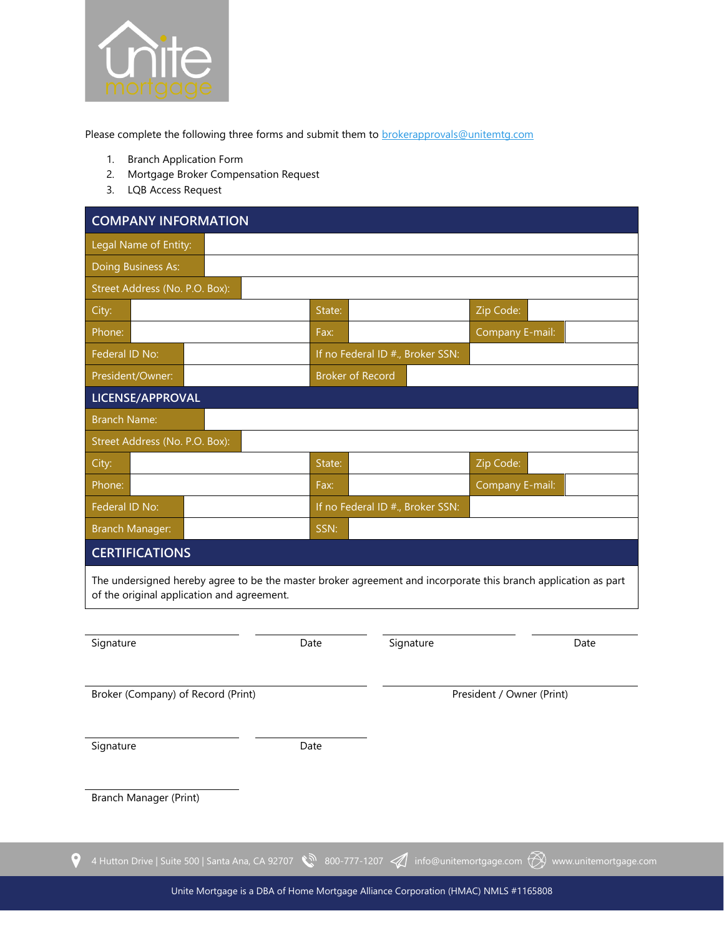

Please complete the following three forms and submit them to **brokerapprovals@unitemtg.com** 

- 1. Branch Application Form
- 2. Mortgage Broker Compensation Request
- 3. LQB Access Request

| <b>COMPANY INFORMATION</b>                                                                                                                                   |                         |                                  |                 |      |  |
|--------------------------------------------------------------------------------------------------------------------------------------------------------------|-------------------------|----------------------------------|-----------------|------|--|
| Legal Name of Entity:                                                                                                                                        |                         |                                  |                 |      |  |
| Doing Business As:                                                                                                                                           |                         |                                  |                 |      |  |
| Street Address (No. P.O. Box):                                                                                                                               |                         |                                  |                 |      |  |
| City:                                                                                                                                                        | State:                  |                                  | Zip Code:       |      |  |
| Phone:                                                                                                                                                       | Fax:                    |                                  | Company E-mail: |      |  |
| Federal ID No:                                                                                                                                               |                         | If no Federal ID #., Broker SSN: |                 |      |  |
| President/Owner:                                                                                                                                             | <b>Broker of Record</b> |                                  |                 |      |  |
| LICENSE/APPROVAL                                                                                                                                             |                         |                                  |                 |      |  |
| <b>Branch Name:</b>                                                                                                                                          |                         |                                  |                 |      |  |
| Street Address (No. P.O. Box):                                                                                                                               |                         |                                  |                 |      |  |
| City:                                                                                                                                                        | State:                  |                                  | Zip Code:       |      |  |
| Phone:                                                                                                                                                       | Fax:                    |                                  | Company E-mail: |      |  |
| Federal ID No:                                                                                                                                               |                         | If no Federal ID #., Broker SSN: |                 |      |  |
| <b>Branch Manager:</b>                                                                                                                                       | SSN:                    |                                  |                 |      |  |
| <b>CERTIFICATIONS</b>                                                                                                                                        |                         |                                  |                 |      |  |
| The undersigned hereby agree to be the master broker agreement and incorporate this branch application as part<br>of the original application and agreement. |                         |                                  |                 |      |  |
|                                                                                                                                                              |                         |                                  |                 |      |  |
| Signature                                                                                                                                                    | Date                    | Signature                        |                 | Date |  |

Broker (Company) of Record (Print) and Second (Print) President / Owner (Print)

Signature Date

Branch Manager (Print)

 $\bullet$ 

Unite Mortgage is a DBA of Home Mortgage Alliance Corporation (HMAC) NMLS #1165808

4 Hutton Drive | Suite 500 | Santa Ana, CA 92707  $\,$  800-777-1207  $\,$  info@unitemortgage.com  $\,$  www.unitemortgage.com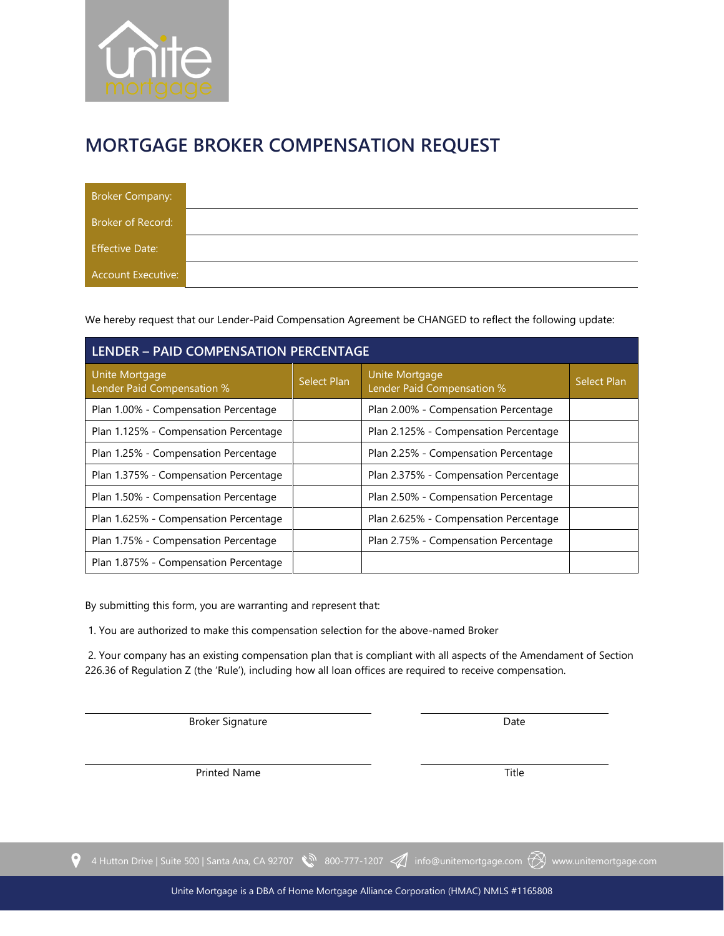

## **MORTGAGE BROKER COMPENSATION REQUEST**

| Broker Company:           |  |
|---------------------------|--|
| Broker of Record:         |  |
| <b>Effective Date:</b>    |  |
| <b>Account Executive:</b> |  |

We hereby request that our Lender-Paid Compensation Agreement be CHANGED to reflect the following update:

| <b>LENDER - PAID COMPENSATION PERCENTAGE</b> |                    |                                              |                    |  |  |
|----------------------------------------------|--------------------|----------------------------------------------|--------------------|--|--|
| Unite Mortgage<br>Lender Paid Compensation % | <b>Select Plan</b> | Unite Mortgage<br>Lender Paid Compensation % | <b>Select Plan</b> |  |  |
| Plan 1.00% - Compensation Percentage         |                    | Plan 2.00% - Compensation Percentage         |                    |  |  |
| Plan 1.125% - Compensation Percentage        |                    | Plan 2.125% - Compensation Percentage        |                    |  |  |
| Plan 1.25% - Compensation Percentage         |                    | Plan 2.25% - Compensation Percentage         |                    |  |  |
| Plan 1.375% - Compensation Percentage        |                    | Plan 2.375% - Compensation Percentage        |                    |  |  |
| Plan 1.50% - Compensation Percentage         |                    | Plan 2.50% - Compensation Percentage         |                    |  |  |
| Plan 1.625% - Compensation Percentage        |                    | Plan 2.625% - Compensation Percentage        |                    |  |  |
| Plan 1.75% - Compensation Percentage         |                    | Plan 2.75% - Compensation Percentage         |                    |  |  |
| Plan 1.875% - Compensation Percentage        |                    |                                              |                    |  |  |

By submitting this form, you are warranting and represent that:

1. You are authorized to make this compensation selection for the above-named Broker

2. Your company has an existing compensation plan that is compliant with all aspects of the Amendament of Section 226.36 of Regulation Z (the 'Rule'), including how all loan offices are required to receive compensation.

Broker Signature **Date** 

Printed Name Title

4 Hutton Drive | Suite 500 | Santa Ana, CA 92707 (1207-1207) info@unitemortgage.com (A) www.unitemortgage.com

 $\bullet$